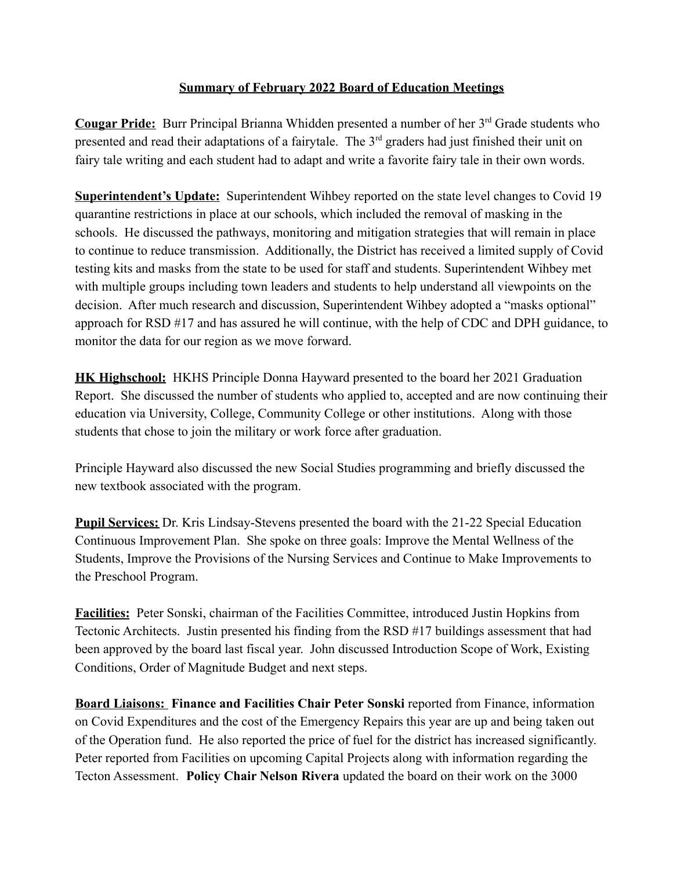## **Summary of February 2022 Board of Education Meetings**

**Cougar Pride:** Burr Principal Brianna Whidden presented a number of her 3<sup>rd</sup> Grade students who presented and read their adaptations of a fairytale. The 3<sup>rd</sup> graders had just finished their unit on fairy tale writing and each student had to adapt and write a favorite fairy tale in their own words.

**Superintendent's Update:** Superintendent Wihbey reported on the state level changes to Covid 19 quarantine restrictions in place at our schools, which included the removal of masking in the schools. He discussed the pathways, monitoring and mitigation strategies that will remain in place to continue to reduce transmission. Additionally, the District has received a limited supply of Covid testing kits and masks from the state to be used for staff and students. Superintendent Wihbey met with multiple groups including town leaders and students to help understand all viewpoints on the decision. After much research and discussion, Superintendent Wihbey adopted a "masks optional" approach for RSD #17 and has assured he will continue, with the help of CDC and DPH guidance, to monitor the data for our region as we move forward.

**HK Highschool:** HKHS Principle Donna Hayward presented to the board her 2021 Graduation Report. She discussed the number of students who applied to, accepted and are now continuing their education via University, College, Community College or other institutions. Along with those students that chose to join the military or work force after graduation.

Principle Hayward also discussed the new Social Studies programming and briefly discussed the new textbook associated with the program.

**Pupil Services:** Dr. Kris Lindsay-Stevens presented the board with the 21-22 Special Education Continuous Improvement Plan. She spoke on three goals: Improve the Mental Wellness of the Students, Improve the Provisions of the Nursing Services and Continue to Make Improvements to the Preschool Program.

**Facilities:** Peter Sonski, chairman of the Facilities Committee, introduced Justin Hopkins from Tectonic Architects. Justin presented his finding from the RSD #17 buildings assessment that had been approved by the board last fiscal year. John discussed Introduction Scope of Work, Existing Conditions, Order of Magnitude Budget and next steps.

**Board Liaisons: Finance and Facilities Chair Peter Sonski** reported from Finance, information on Covid Expenditures and the cost of the Emergency Repairs this year are up and being taken out of the Operation fund. He also reported the price of fuel for the district has increased significantly. Peter reported from Facilities on upcoming Capital Projects along with information regarding the Tecton Assessment. **Policy Chair Nelson Rivera** updated the board on their work on the 3000